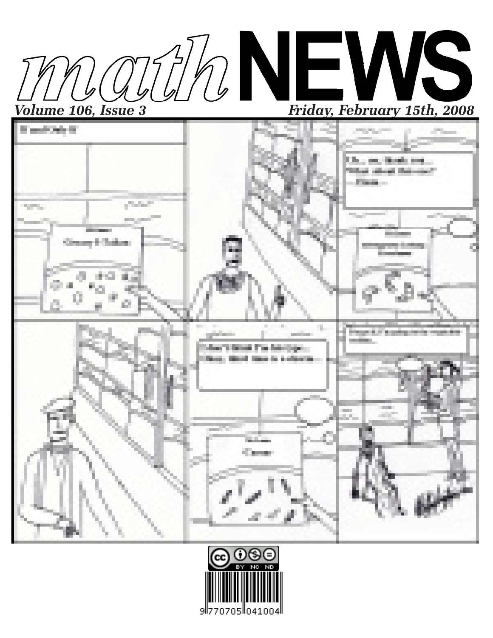



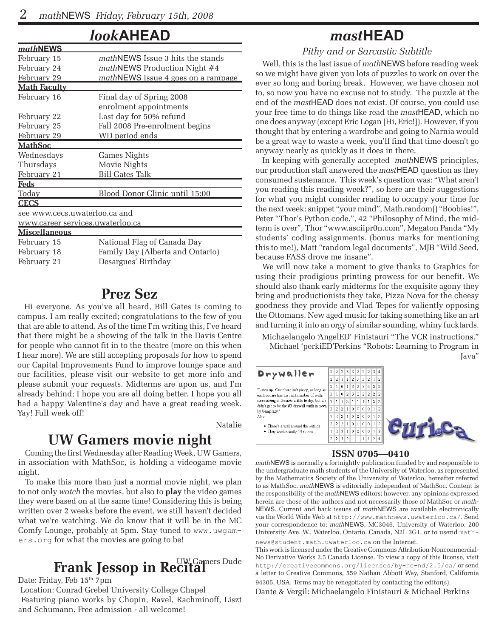### *look***AHEAD**

| mathNEWS                                |                                         |  |  |  |  |  |  |  |
|-----------------------------------------|-----------------------------------------|--|--|--|--|--|--|--|
| February 15                             | <i>mathNEWS</i> Issue 3 hits the stands |  |  |  |  |  |  |  |
| February 24                             | <i>mathNEWS Production Night #4</i>     |  |  |  |  |  |  |  |
| February 29                             | mathNEWS Issue 4 goes on a rampage      |  |  |  |  |  |  |  |
| <b>Math Faculty</b>                     |                                         |  |  |  |  |  |  |  |
| February 16                             | Final day of Spring 2008                |  |  |  |  |  |  |  |
|                                         | enrolment appointments                  |  |  |  |  |  |  |  |
| February 22                             | Last day for 50% refund                 |  |  |  |  |  |  |  |
| February 25                             | Fall 2008 Pre-enrolment begins          |  |  |  |  |  |  |  |
| February 29                             | WD period ends                          |  |  |  |  |  |  |  |
| <b>MathSoc</b>                          |                                         |  |  |  |  |  |  |  |
| Wednesdays                              | Games Nights                            |  |  |  |  |  |  |  |
| Thursdays                               | Movie Nights                            |  |  |  |  |  |  |  |
| February 21                             | <b>Bill Gates Talk</b>                  |  |  |  |  |  |  |  |
| Feds                                    |                                         |  |  |  |  |  |  |  |
| Today                                   | Blood Donor Clinic until 15:00          |  |  |  |  |  |  |  |
| <b>CECS</b>                             |                                         |  |  |  |  |  |  |  |
| see www.cecs.uwaterloo.ca and           |                                         |  |  |  |  |  |  |  |
| <u>www.career services.uwaterloo.ca</u> |                                         |  |  |  |  |  |  |  |
| <b>Miscellaneous</b>                    |                                         |  |  |  |  |  |  |  |
| February 15                             | National Flag of Canada Day             |  |  |  |  |  |  |  |
| February 18                             | Family Day (Alberta and Ontario)        |  |  |  |  |  |  |  |
| February 21                             | Desargues' Birthday                     |  |  |  |  |  |  |  |
|                                         |                                         |  |  |  |  |  |  |  |

### **Prez Sez**

Hi everyone. As you've all heard, Bill Gates is coming to campus. I am really excited; congratulations to the few of you that are able to attend. As of the time I'm writing this, I've heard that there might be a showing of the talk in the Davis Centre for people who cannot fit in to the theatre (more on this when I hear more). We are still accepting proposals for how to spend our Capital Improvements Fund to improve lounge space and our facilities, please visit our website to get more info and please submit your requests. Midterms are upon us, and I'm already behind; I hope you are all doing better. I hope you all had a happy Valentine's day and have a great reading week. Yay! Full week off!

Natalie

### **UW Gamers movie night**

Coming the first Wednesday after Reading Week, UW Gamers, in association with MathSoc, is holding a videogame movie night.

To make this more than just a normal movie night, we plan to not only *watch* the movies, but also to **play** the video games they were based on at the same time! Considering this is being written over 2 weeks before the event, we still haven't decided what we're watching. We do know that it will be in the MC Comfy Lounge, probably at 5pm. Stay tuned to www.uwgamers.org for what the movies are going to be!

# **Frank Jessop in Re<sup>UW Gamers Dude</sup>**

Date: Friday, Feb 15<sup>th</sup> 7pm

 Location: Conrad Grebel University College Chapel Featuring piano works by Chopin, Ravel, Rachminoff, Liszt and Schumann. Free admission - all welcome!

### *mast***HEAD**

*Pithy and or Sarcastic Subtitle*

Well, this is the last issue of *math*NEWS before reading week so we might have given you lots of puzzles to work on over the ever so long and boring break. However, we have chosen not to, so now you have no excuse not to study. The puzzle at the end of the *mast*HEAD does not exist. Of course, you could use your free time to do things like read the *mast*HEAD, which no one does anyway (except Eric Logan [Hi, Eric!]). However, if you thought that by entering a wardrobe and going to Narnia would be a great way to waste a week, you'll find that time doesn't go anyway nearly as quickly as it does in there.

In keeping with generally accepted *math*NEWS principles, our production staff answered the *mast*HEAD question as they consumed sustenance. This week's question was: "What aren't you reading this reading week?", so here are their suggestions for what you might consider reading to occupy your time for the next week: snippet "your mind", Math.random() "Boobies!", Peter "Thor's Python code.", 42 "Philosophy of Mind, the midterm is over", Thor "www.asciipr0n.com", Megaton Panda "My students' coding assignments. (bonus marks for mentioning this to me!), Matt "random legal documents", MJB "Wild Seed, because FASS drove me insane".

We will now take a moment to give thanks to Graphics for using their prodigious printing prowess for our benefit. We should also thank early midterms for the exquisite agony they bring and productionists they take, Pizza Nova for the cheesy goodness they provide and Vlad Tepes for valiently opposing the Ottomans. New aged music for taking something like an art and turning it into an orgy of similar sounding, whiny fucktards.

Michaelangelo 'AngelED' Finistauri "The VCR instructions." Michael 'perkiED'Perkins "Robots: Learning to Program in Java"

| Drywaller                                                                                                                                                                                                                                                                                          |                         | 2 2 2 3 3 2 2 2     |     |                |                     |  |                |                | 3 4            |  |
|----------------------------------------------------------------------------------------------------------------------------------------------------------------------------------------------------------------------------------------------------------------------------------------------------|-------------------------|---------------------|-----|----------------|---------------------|--|----------------|----------------|----------------|--|
|                                                                                                                                                                                                                                                                                                    | $\overline{2}$          |                     |     |                | 2 1 1 2 3 3 2       |  |                |                | $\overline{2}$ |  |
| "Listen up. Our client isn't picky, as long as<br>each square has the right number of walls<br>surrounding it. Sounds a little tricky, but we<br>didn't get to be the #3 drywall outfit in town<br>by being lazy."<br>Also:<br>• There's a wall around the outside<br>• They want exactly 14 rooms |                         | 2 1 0 1 3 2 3       |     |                |                     |  | $\overline{4}$ | $\mathfrak{D}$ | $\overline{2}$ |  |
|                                                                                                                                                                                                                                                                                                    |                         | 3 1 0 2 3 2 2 2     |     |                |                     |  |                |                | 2 2            |  |
|                                                                                                                                                                                                                                                                                                    | $\overline{\mathbf{3}}$ |                     |     |                | $1 \ 1 \ 2 \ 1 \ 1$ |  |                | $\mathfrak{D}$ | $\overline{2}$ |  |
|                                                                                                                                                                                                                                                                                                    |                         | 3 2 2 1 0 0 0 0 1 2 |     |                |                     |  |                |                |                |  |
|                                                                                                                                                                                                                                                                                                    |                         | 3 2 2 1 0 0 0 0 1 2 |     |                |                     |  |                |                |                |  |
|                                                                                                                                                                                                                                                                                                    |                         | $\overline{2}$      |     |                | 21000012            |  |                |                |                |  |
|                                                                                                                                                                                                                                                                                                    |                         |                     |     |                | 2 3 1 0 0 0 0 1     |  |                |                | $\overline{3}$ |  |
|                                                                                                                                                                                                                                                                                                    |                         | $2 \overline{2}$    | (3) | 2 <sup>1</sup> |                     |  |                | $\mathfrak{D}$ | $\vert$ 4      |  |

#### **ISSN 0705—0410**

*math*NEWS is normally a fortnightly publication funded by and responsible to the undergraduate math students of the University of Waterloo, as represented by the Mathematics Society of the University of Waterloo, hereafter referred to as MathSoc. *math*NEWS is editorially independent of MathSoc. Content is the responsibility of the *math*NEWS editors; however, any opinions expressed herein are those of the authors and not necessarily those of MathSoc or *math-*NEWS. Current and back issues of *math*NEWS are available electronically via the World Wide Web at http://www.mathnews.uwaterloo.ca/. Send your correspondence to: *math*NEWS, MC3046, University of Waterloo, 200 University Ave. W., Waterloo, Ontario, Canada, N2L 3G1, or to userid mathnews@student.math.uwaterloo.ca on the Internet.

This work is licensed under the Creative Commons Attribution-Noncommercial-No Derivative Works 2.5 Canada License. To view a copy of this license, visit http://creativecommons.org/licenses/by-nc-nd/2.5/ca/ or send a letter to Creative Commons, 559 Nathan Abbott Way, Stanford, California 94305, USA. Terms may be renegotiated by contacting the editor(s).

Dante & Vergil: Michaelangelo Finistauri & Michael Perkins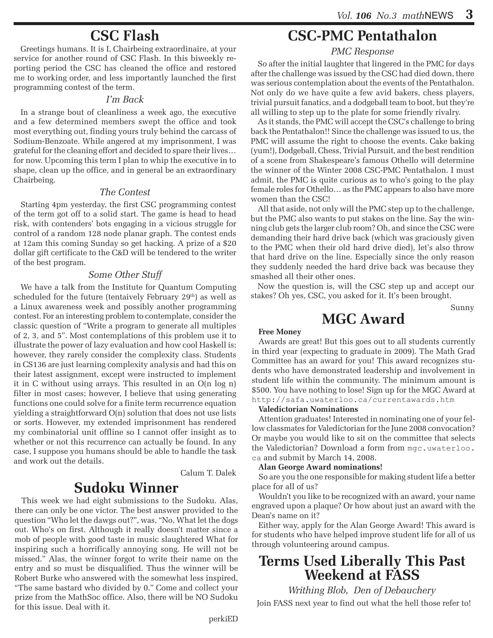## **CSC Flash**

Greetings humans. It is I, Chairbeing extraordinaire, at your service for another round of CSC Flash. In this biweekly reporting period the CSC has cleaned the office and restored me to working order, and less importantly launched the first programming contest of the term.

#### *I'm Back*

In a strange bout of cleanliness a week ago, the executive and a few determined members swept the office and took most everything out, finding yours truly behind the carcass of Sodium-Benzoate. While angered at my imprisonment, I was grateful for the cleaning effort and decided to spare their lives… for now. Upcoming this term I plan to whip the executive in to shape, clean up the office, and in general be an extraordinary Chairbeing.

#### *The Contest*

Starting 4pm yesterday, the first CSC programming contest of the term got off to a solid start. The game is head to head risk, with contenders' bots engaging in a vicious struggle for control of a random 128 node planar graph. The contest ends at 12am this coming Sunday so get hacking. A prize of a \$20 dollar gift certificate to the C&D will be tendered to the writer of the best program.

#### *Some Other Stuff*

We have a talk from the Institute for Quantum Computing scheduled for the future (tentaively February  $29<sup>th</sup>$ ) as well as a Linux awareness week and possibly another programming contest. For an interesting problem to contemplate, consider the classic question of "Write a program to generate all multiples of 2, 3, and 5". Most contemplations of this problem use it to illustrate the power of lazy evaluation and how cool Haskell is; however, they rarely consider the complexity class. Students in CS136 are just learning complexity analysis and had this on their latest assignment, except were instructed to implement it in C without using arrays. This resulted in an O(n log n) filter in most cases; however, I believe that using generating functions one could solve for a finite term recurrence equation yielding a straightforward O(n) solution that does not use lists or sorts. However, my extended imprisonment has rendered my combinatorial unit offline so I cannot offer insight as to whether or not this recurrence can actually be found. In any case, I suppose you humans should be able to handle the task and work out the details.

Calum T. Dalek

### **Sudoku Winner**

This week we had eight submissions to the Sudoku. Alas, there can only be one victor. The best answer provided to the question "Who let the dawgs out?", was, "No, What let the dogs out. Who's on first. Although it really doesn't matter since a mob of people with good taste in music slaughtered What for inspiring such a horrifically annoying song. He will not be missed." Alas, the winner forgot to write their name on the entry and so must be disqualified. Thus the winner will be Robert Burke who answered with the somewhat less inspired, "The same bastard who divided by 0." Come and collect your prize from the MathSoc office. Also, there will be NO Sudoku for this issue. Deal with it.

### **CSC-PMC Pentathalon**

#### *PMC Response*

So after the initial laughter that lingered in the PMC for days after the challenge was issued by the CSC had died down, there was serious contemplation about the events of the Pentathalon. Not only do we have quite a few avid bakers, chess players, trivial pursuit fanatics, and a dodgeball team to boot, but they're all willing to step up to the plate for some friendly rivalry.

As it stands, the PMC will accept the CSC's challenge to bring back the Pentathalon!! Since the challenge was issued to us, the PMC will assume the right to choose the events. Cake baking (yum!), Dodgeball, Chess, Trivial Pursuit, and the best rendition of a scene from Shakespeare's famous Othello will determine the winner of the Winter 2008 CSC-PMC Pentathalon. I must admit, the PMC is quite curious as to who's going to the play female roles for Othello… as the PMC appears to also have more women than the CSC!

All that aside, not only will the PMC step up to the challenge, but the PMC also wants to put stakes on the line. Say the winning club gets the larger club room? Oh, and since the CSC were demanding their hard drive back (which was graciously given to the PMC when their old hard drive died), let's also throw that hard drive on the line. Especially since the only reason they suddenly needed the hard drive back was because they smashed all their other ones.

Now the question is, will the CSC step up and accept our stakes? Oh yes, CSC, you asked for it. It's been brought.

**MGC Award**

Sunny

#### **Free Money**

Awards are great! But this goes out to all students currently in third year (expecting to graduate in 2009). The Math Grad Committee has an award for you! This award recognizes students who have demonstrated leadership and involvement in student life within the community. The minimum amount is \$500. You have nothing to lose! Sign up for the MGC Award at http://safa.uwaterloo.ca/currentawards.htm

#### **Valedictorian Nominations**

Attention graduates! Interested in nominating one of your fellow classmates for Valedictorian for the June 2008 convocation? Or maybe you would like to sit on the committee that selects the Valedictorian? Download a form from mgc.uwaterloo. ca and submit by March 14, 2008.

#### **Alan George Award nominations!**

So are you the one responsible for making student life a better place for all of us?

Wouldn't you like to be recognized with an award, your name engraved upon a plaque? Or how about just an award with the Dean's name on it?

Either way, apply for the Alan George Award! This award is for students who have helped improve student life for all of us through volunteering around campus.

# **Terms Used Liberally This Past Weekend at FASS**

*Writhing Blob, Den of Debauchery* 

Join FASS next year to find out what the hell those refer to!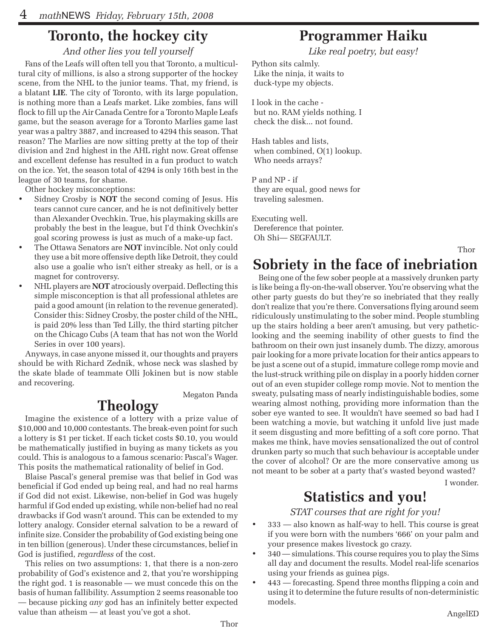# **Toronto, the hockey city**

*And other lies you tell yourself*

Fans of the Leafs will often tell you that Toronto, a multicultural city of millions, is also a strong supporter of the hockey scene, from the NHL to the junior teams. That, my friend, is a blatant **LIE**. The city of Toronto, with its large population, is nothing more than a Leafs market. Like zombies, fans will flock to fill up the Air Canada Centre for a Toronto Maple Leafs game, but the season average for a Toronto Marlies game last year was a paltry 3887, and increased to 4294 this season. That reason? The Marlies are now sitting pretty at the top of their division and 2nd highest in the AHL right now. Great offense and excellent defense has resulted in a fun product to watch on the ice. Yet, the season total of 4294 is only 16th best in the league of 30 teams, for shame.

Other hockey misconceptions:

- Sidney Crosby is **NOT** the second coming of Jesus. His tears cannot cure cancer, and he is not definitively better than Alexander Ovechkin. True, his playmaking skills are probably the best in the league, but I'd think Ovechkin's goal scoring prowess is just as much of a make-up fact.
- The Ottawa Senators are **NOT** invincible. Not only could they use a bit more offensive depth like Detroit, they could also use a goalie who isn't either streaky as hell, or is a magnet for controversy.
- NHL players are **NOT** atrociously overpaid. Deflecting this simple misconception is that all professional athletes are paid a good amount (in relation to the revenue generated). Consider this: Sidney Crosby, the poster child of the NHL, is paid 20% less than Ted Lilly, the third starting pitcher on the Chicago Cubs (A team that has not won the World Series in over 100 years).

Anyways, in case anyone missed it, our thoughts and prayers should be with Richard Zednik, whose neck was slashed by the skate blade of teammate Olli Jokinen but is now stable and recovering.

Megaton Panda

# **Theology**

Imagine the existence of a lottery with a prize value of \$10,000 and 10,000 contestants. The break-even point for such a lottery is \$1 per ticket. If each ticket costs \$0.10, you would be mathematically justified in buying as many tickets as you could. This is analogous to a famous scenario: Pascal's Wager. This posits the mathematical rationality of belief in God.

Blaise Pascal's general premise was that belief in God was beneficial if God ended up being real, and had no real harms if God did not exist. Likewise, non-belief in God was hugely harmful if God ended up existing, while non-belief had no real drawbacks if God wasn't around. This can be extended to my lottery analogy. Consider eternal salvation to be a reward of infinite size. Consider the probability of God existing being one in ten billion (generous). Under these circumstances, belief in God is justified, *regardless* of the cost.

This relies on two assumptions: 1, that there is a non-zero probability of God's existence and 2, that you're worshipping the right god. 1 is reasonable — we must concede this on the basis of human fallibility. Assumption 2 seems reasonable too — because picking *any* god has an infinitely better expected value than atheism — at least you've got a shot.

## **Programmer Haiku**

*Like real poetry, but easy!*

Python sits calmly. Like the ninja, it waits to duck-type my objects.

I look in the cache but no. RAM yields nothing. I check the disk... not found.

Hash tables and lists, when combined,  $O(1)$  lookup. Who needs arrays?

P and NP - if they are equal, good news for traveling salesmen.

Executing well. Dereference that pointer. Oh Shi— SEGFAULT.

# **Sobriety in the face of inebriation**

Being one of the few sober people at a massively drunken party is like being a fly-on-the-wall observer. You're observing what the other party guests do but they're so inebriated that they really don't realize that you're there. Conversations flying around seem ridiculously unstimulating to the sober mind. People stumbling up the stairs holding a beer aren't amusing, but very patheticlooking and the seeming inability of other guests to find the bathroom on their own just insanely dumb. The dizzy, amorous pair looking for a more private location for their antics appears to be just a scene out of a stupid, immature college romp movie and the lust-struck writhing pile on display in a poorly hidden corner out of an even stupider college romp movie. Not to mention the sweaty, pulsating mass of nearly indistinguishable bodies, some wearing almost nothing, providing more information than the sober eye wanted to see. It wouldn't have seemed so bad had I been watching a movie, but watching it unfold live just made it seem disgusting and more befitting of a soft core porno. That makes me think, have movies sensationalized the out of control drunken party so much that such behaviour is acceptable under the cover of alcohol? Or are the more conservative among us not meant to be sober at a party that's wasted beyond wasted?

I wonder.

Thor

# **Statistics and you!**

*STAT courses that are right for you!*

- 333 also known as half-way to hell. This course is great if you were born with the numbers '666' on your palm and your presence makes livestock go crazy.
- 340 simulations. This course requires you to play the Sims all day and document the results. Model real-life scenarios using your friends as guinea pigs.
- 443 forecasting. Spend three months flipping a coin and using it to determine the future results of non-deterministic models.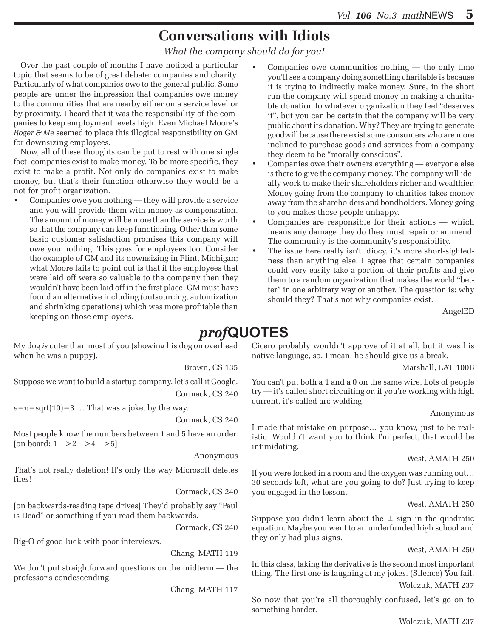# **Conversations with Idiots**

*What the company should do for you!*

Over the past couple of months I have noticed a particular topic that seems to be of great debate: companies and charity. Particularly of what companies owe to the general public. Some people are under the impression that companies owe money to the communities that are nearby either on a service level or by proximity. I heard that it was the responsibility of the companies to keep employment levels high. Even Michael Moore's *Roger & Me* seemed to place this illogical responsibility on GM for downsizing employees.

Now, all of these thoughts can be put to rest with one single fact: companies exist to make money. To be more specific, they exist to make a profit. Not only do companies exist to make money, but that's their function otherwise they would be a not-for-profit organization.

- Companies owe you nothing they will provide a service and you will provide them with money as compensation. The amount of money will be more than the service is worth so that the company can keep functioning. Other than some basic customer satisfaction promises this company will owe you nothing. This goes for employees too. Consider the example of GM and its downsizing in Flint, Michigan; what Moore fails to point out is that if the employees that were laid off were so valuable to the company then they wouldn't have been laid off in the first place! GM must have found an alternative including (outsourcing, automization and shrinking operations) which was more profitable than keeping on those employees.
- Companies owe communities nothing  $-$  the only time you'll see a company doing something charitable is because it is trying to indirectly make money. Sure, in the short run the company will spend money in making a charitable donation to whatever organization they feel "deserves it", but you can be certain that the company will be very public about its donation. Why? They are trying to generate goodwill because there exist some consumers who are more inclined to purchase goods and services from a company they deem to be "morally conscious".
- • Companies owe their owners everything everyone else is there to give the company money. The company will ideally work to make their shareholders richer and wealthier. Money going from the company to charities takes money away from the shareholders and bondholders. Money going to you makes those people unhappy.
- • Companies are responsible for their actions which means any damage they do they must repair or ammend. The community is the community's responsibility.
- The issue here really isn't idiocy, it's more short-sightedness than anything else. I agree that certain companies could very easily take a portion of their profits and give them to a random organization that makes the world "better" in one arbitrary way or another. The question is: why should they? That's not why companies exist.

AngelED

# *prof***QUOTES**

My dog *is* cuter than most of you (showing his dog on overhead when he was a puppy).

Brown, CS 135

Suppose we want to build a startup company, let's call it Google. Cormack, CS 240

 $e=\pi=\sqrt{5(10)}=3$  ... That was a joke, by the way.

Cormack, CS 240

Most people know the numbers between 1 and 5 have an order. [on board: 1—>2—>4—>5]

Anonymous

That's not really deletion! It's only the way Microsoft deletes files!

Cormack, CS 240

[on backwards-reading tape drives] They'd probably say "Paul is Dead" or something if you read them backwards.

Cormack, CS 240

Big-O of good luck with poor interviews.

Chang, MATH 119

We don't put straightforward questions on the midterm — the professor's condescending.

Chang, MATH 117

Cicero probably wouldn't approve of it at all, but it was his native language, so, I mean, he should give us a break.

Marshall, LAT 100B

You can't put both a 1 and a 0 on the same wire. Lots of people try — it's called short circuiting or, if you're working with high current, it's called arc welding.

#### Anonymous

I made that mistake on purpose… you know, just to be realistic. Wouldn't want you to think I'm perfect, that would be intimidating.

#### West, AMATH 250

If you were locked in a room and the oxygen was running out… 30 seconds left, what are you going to do? Just trying to keep you engaged in the lesson.

#### West, AMATH 250

Suppose you didn't learn about the  $\pm$  sign in the quadratic equation. Maybe you went to an underfunded high school and they only had plus signs.

West, AMATH 250

In this class, taking the derivative is the second most important thing. The first one is laughing at my jokes. (Silence) You fail. Wolczuk, MATH 237

So now that you're all thoroughly confused, let's go on to something harder.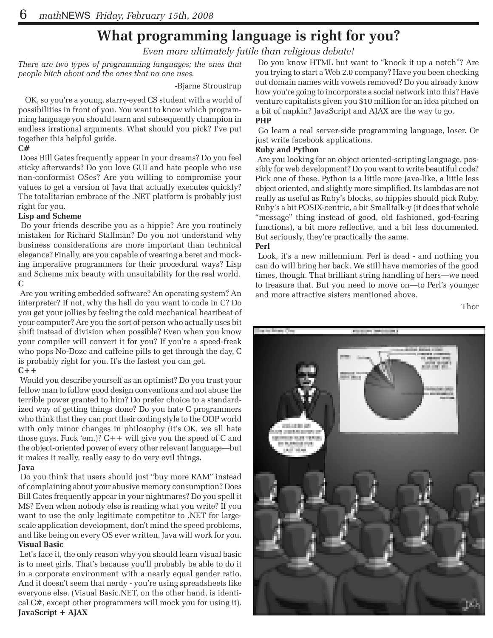# **What programming language is right for you?**

*Even more ultimately futile than religious debate!*

*There are two types of programming languages; the ones that people bitch about and the ones that no one uses.*

#### -Bjarne Stroustrup

OK, so you're a young, starry-eyed CS student with a world of possibilities in front of you. You want to know which programming language you should learn and subsequently champion in endless irrational arguments. What should you pick? I've put together this helpful guide.

#### **C#**

 Does Bill Gates frequently appear in your dreams? Do you feel sticky afterwards? Do you love GUI and hate people who use non-conformist OSes? Are you willing to compromise your values to get a version of Java that actually executes quickly? The totalitarian embrace of the .NET platform is probably just right for you.

#### **Lisp and Scheme**

 Do your friends describe you as a hippie? Are you routinely mistaken for Richard Stallman? Do you not understand why business considerations are more important than technical elegance? Finally, are you capable of wearing a beret and mocking imperative programmers for their procedural ways? Lisp and Scheme mix beauty with unsuitability for the real world. **C**

 Are you writing embedded software? An operating system? An interpreter? If not, why the hell do you want to code in C? Do you get your jollies by feeling the cold mechanical heartbeat of your computer? Are you the sort of person who actually uses bit shift instead of division when possible? Even when you know your compiler will convert it for you? If you're a speed-freak who pops No-Doze and caffeine pills to get through the day, C is probably right for you. It's the fastest you can get. **C++**

 Would you describe yourself as an optimist? Do you trust your fellow man to follow good design conventions and not abuse the terrible power granted to him? Do prefer choice to a standardized way of getting things done? Do you hate C programmers who think that they can port their coding style to the OOP world with only minor changes in philosophy (it's OK, we all hate those guys. Fuck 'em.)?  $C++$  will give you the speed of C and the object-oriented power of every other relevant language—but it makes it really, really easy to do very evil things.

#### **Java**

 Do you think that users should just "buy more RAM" instead of complaining about your abusive memory consumption? Does Bill Gates frequently appear in your nightmares? Do you spell it M\$? Even when nobody else is reading what you write? If you want to use the only legitimate competitor to .NET for largescale application development, don't mind the speed problems, and like being on every OS ever written, Java will work for you. **Visual Basic**

 Let's face it, the only reason why you should learn visual basic is to meet girls. That's because you'll probably be able to do it in a corporate environment with a nearly equal gender ratio. And it doesn't seem that nerdy - you're using spreadsheets like everyone else. (Visual Basic.NET, on the other hand, is identical C#, except other programmers will mock you for using it). **JavaScript + AJAX**

 Do you know HTML but want to "knock it up a notch"? Are you trying to start a Web 2.0 company? Have you been checking out domain names with vowels removed? Do you already know how you're going to incorporate a social network into this? Have venture capitalists given you \$10 million for an idea pitched on a bit of napkin? JavaScript and AJAX are the way to go. **PHP**

 Go learn a real server-side programming language, loser. Or just write facebook applications.

#### **Ruby and Python**

 Are you looking for an object oriented-scripting language, possibly for web development? Do you want to write beautiful code? Pick one of these. Python is a little more Java-like, a little less object oriented, and slightly more simplified. Its lambdas are not really as useful as Ruby's blocks, so hippies should pick Ruby. Ruby's a bit POSIX-centric, a bit Smalltalk-y (it does that whole "message" thing instead of good, old fashioned, god-fearing functions), a bit more reflective, and a bit less documented. But seriously, they're practically the same.

#### **Perl**

 Look, it's a new millennium. Perl is dead - and nothing you can do will bring her back. We still have memories of the good times, though. That brilliant string handling of hers—we need to treasure that. But you need to move on—to Perl's younger and more attractive sisters mentioned above.

Thor

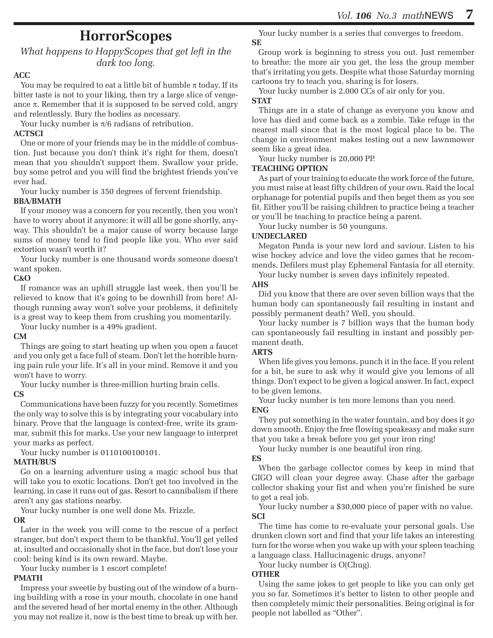### **HorrorScopes**

#### *What happens to HappyScopes that get left in the dark too long.*

#### **ACC**

You may be required to eat a little bit of humble  $\pi$  today. If its bitter taste is not to your liking, then try a large slice of vengeance  $\pi$ . Remember that it is supposed to be served cold, angry and relentlessly. Bury the bodies as necessary.

Your lucky number is  $\pi/6$  radians of retribution.

#### **ACTSCI**

One or more of your friends may be in the middle of combustion. Just because you don't think it's right for them, doesn't mean that you shouldn't support them. Swallow your pride, buy some petrol and you will find the brightest friends you've ever had.

Your lucky number is 350 degrees of fervent friendship. **BBA/BMATH**

If your money was a concern for you recently, then you won't have to worry about it anymore: it will all be gone shortly, anyway. This shouldn't be a major cause of worry because large sums of money tend to find people like you. Who ever said extortion wasn't worth it?

Your lucky number is one thousand words someone doesn't want spoken.

#### **C&O**

If romance was an uphill struggle last week, then you'll be relieved to know that it's going to be downhill from here! Although running away won't solve your problems, it definitely is a great way to keep them from crushing you momentarily.

Your lucky number is a 49% gradient.

#### **CM**

Things are going to start heating up when you open a faucet and you only get a face full of steam. Don't let the horrible burning pain rule your life. It's all in your mind. Remove it and you won't have to worry.

Your lucky number is three-million hurting brain cells.

#### **CS**

Communications have been fuzzy for you recently. Sometimes the only way to solve this is by integrating your vocabulary into binary. Prove that the language is context-free, write its grammar, submit this for marks. Use your new language to interpret your marks as perfect.

Your lucky number is 0110100100101.

#### **MATH/BUS**

Go on a learning adventure using a magic school bus that will take you to exotic locations. Don't get too involved in the learning, in case it runs out of gas. Resort to cannibalism if there aren't any gas stations nearby.

Your lucky number is one well done Ms. Frizzle. **OR**

Later in the week you will come to the rescue of a perfect stranger, but don't expect them to be thankful. You'll get yelled at, insulted and occasionally shot in the face, but don't lose your cool: being kind is its own reward. Maybe.

Your lucky number is 1 escort complete!

#### **PMATH**

Impress your sweetie by busting out of the window of a burning building with a rose in your mouth, chocolate in one hand and the severed head of her mortal enemy in the other. Although you may not realize it, now is the best time to break up with her.

Your lucky number is a series that converges to freedom. **SE**

Group work is beginning to stress you out. Just remember to breathe: the more air you get, the less the group member that's irritating you gets. Despite what those Saturday morning cartoons try to teach you, sharing is for losers.

Your lucky number is 2,000 CCs of air only for you.

#### **STAT**

Things are in a state of change as everyone you know and love has died and come back as a zombie. Take refuge in the nearest mall since that is the most logical place to be. The change in environment makes testing out a new lawnmower seem like a great idea.

Your lucky number is 20,000 PP.

#### **TEACHING OPTION**

As part of your training to educate the work force of the future, you must raise at least fifty children of your own. Raid the local orphanage for potential pupils and then beget them as you see fit. Either you'll be raising children to practice being a teacher or you'll be teaching to practice being a parent.

Your lucky number is 50 younguns.

#### **UNDECLARED**

Megaton Panda is your new lord and saviour. Listen to his wise hockey advice and love the video games that he recommends. Defilers must play Ephemeral Fantasia for all eternity.

Your lucky number is seven days infinitely repeated.

#### **AHS**

Did you know that there are over seven billion ways that the human body can spontaneously fail resulting in instant and possibly permanent death? Well, you should.

Your lucky number is 7 billion ways that the human body can spontaneously fail resulting in instant and possibly permanent death.

#### **ARTS**

When life gives you lemons, punch it in the face. If you relent for a bit, be sure to ask why it would give you lemons of all things. Don't expect to be given a logical answer. In fact, expect to be given lemons.

Your lucky number is ten more lemons than you need.

#### **ENG**

They put something in the water fountain, and boy does it go down smooth. Enjoy the free flowing speakeasy and make sure that you take a break before you get your iron ring!

Your lucky number is one beautiful iron ring.

#### **ES**

When the garbage collector comes by keep in mind that GIGO will clean your degree away. Chase after the garbage collector shaking your fist and when you're finished be sure to get a real job.

Your lucky number a \$30,000 piece of paper with no value. **SCI**

The time has come to re-evaluate your personal goals. Use drunken clown sort and find that your life takes an interesting turn for the worse when you wake up with your spleen teaching a language class. Hallucinagenic drugs, anyone?

Your lucky number is O(Chug).

#### **OTHER**

Using the same jokes to get people to like you can only get you so far. Sometimes it's better to listen to other people and then completely mimic their personalities. Being original is for people not labelled as "Other".